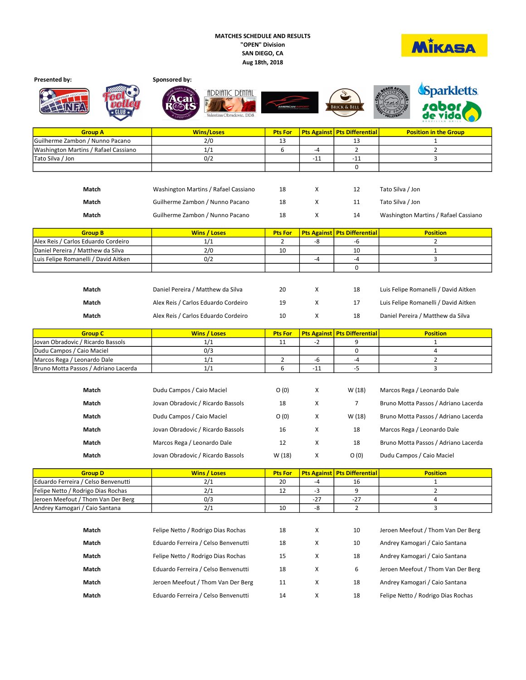## MATCHES SCHEDULE AND RESULTS "OPEN" Division SAN DIEGO, CA Aug 18th, 2018



|                                                                          | Sponsored by:                        |                      |       |                                     |                                      |
|--------------------------------------------------------------------------|--------------------------------------|----------------------|-------|-------------------------------------|--------------------------------------|
|                                                                          | <b>ADRIATIC DENTAL</b>               |                      |       |                                     | <b>Sparkletts</b>                    |
|                                                                          |                                      |                      |       |                                     |                                      |
|                                                                          |                                      |                      |       | <b>BRICK &amp; BELL</b>             |                                      |
|                                                                          | Valentina Obradovic, DD&             |                      |       |                                     |                                      |
| <b>Group A</b>                                                           | <b>Wins/Loses</b>                    | <b>Pts For</b>       |       | Pts Against   Pts Differential      | <b>Position in the Group</b>         |
| Guilherme Zambon / Nunno Pacano                                          | 2/0                                  | 13                   |       | 13                                  | 1                                    |
| Washington Martins / Rafael Cassiano                                     | 1/1                                  | 6                    | -4    | $\overline{2}$                      | $\overline{2}$                       |
| Tato Silva / Jon                                                         | 0/2                                  |                      | $-11$ | $-11$                               | 3                                    |
|                                                                          |                                      |                      |       | 0                                   |                                      |
|                                                                          |                                      |                      |       |                                     |                                      |
| Match                                                                    | Washington Martins / Rafael Cassiano | 18                   | х     | 12                                  | Tato Silva / Jon                     |
|                                                                          |                                      |                      |       |                                     |                                      |
| Match                                                                    | Guilherme Zambon / Nunno Pacano      | 18                   | х     | 11                                  | Tato Silva / Jon                     |
| Match                                                                    | Guilherme Zambon / Nunno Pacano      | 18                   | х     | 14                                  | Washington Martins / Rafael Cassiano |
|                                                                          |                                      |                      |       |                                     |                                      |
| <b>Group B</b>                                                           | <b>Wins / Loses</b>                  | <b>Pts For</b>       |       | Pts Against   Pts Differential      | <b>Position</b>                      |
| Alex Reis / Carlos Eduardo Cordeiro<br>Daniel Pereira / Matthew da Silva | 1/1<br>2/0                           | $\overline{2}$<br>10 | -8    | -6<br>10                            | $\overline{2}$<br>$\mathbf{1}$       |
| Luis Felipe Romanelli / David Aitken                                     | 0/2                                  |                      | -4    | -4                                  | 3                                    |
|                                                                          |                                      |                      |       | 0                                   |                                      |
|                                                                          |                                      |                      |       |                                     |                                      |
|                                                                          |                                      |                      |       |                                     |                                      |
| Match                                                                    | Daniel Pereira / Matthew da Silva    | 20                   | X     | 18                                  | Luis Felipe Romanelli / David Aitken |
| Match                                                                    | Alex Reis / Carlos Eduardo Cordeiro  | 19                   | х     | 17                                  | Luis Felipe Romanelli / David Aitken |
| Match                                                                    | Alex Reis / Carlos Eduardo Cordeiro  | 10                   | х     | 18                                  | Daniel Pereira / Matthew da Silva    |
|                                                                          |                                      |                      |       |                                     |                                      |
|                                                                          |                                      |                      |       |                                     |                                      |
| <b>Group C</b>                                                           | <b>Wins / Loses</b>                  | <b>Pts For</b>       |       | Pts Against   Pts Differential      | <b>Position</b>                      |
| Jovan Obradovic / Ricardo Bassols                                        | 1/1                                  | 11                   | -2    | 9                                   | $\mathbf{1}$                         |
| Dudu Campos / Caio Maciel                                                | 0/3                                  |                      |       | 0                                   | 4                                    |
| Marcos Rega / Leonardo Dale                                              | 1/1                                  | $\overline{2}$       | -6    | -4                                  | $\overline{2}$                       |
| Bruno Motta Passos / Adriano Lacerda                                     | 1/1                                  | 6                    | $-11$ | $-5$                                | 3                                    |
|                                                                          |                                      |                      |       |                                     |                                      |
| Match                                                                    | Dudu Campos / Caio Maciel            | O(0)                 | х     | W (18)                              | Marcos Rega / Leonardo Dale          |
| Match                                                                    | Jovan Obradovic / Ricardo Bassols    | 18                   | X     | $\overline{7}$                      | Bruno Motta Passos / Adriano Lacerda |
| Match                                                                    | Dudu Campos / Caio Maciel            | O(0)                 | х     | W (18)                              | Bruno Motta Passos / Adriano Lacerda |
|                                                                          |                                      |                      |       |                                     |                                      |
| Match                                                                    | Jovan Obradovic / Ricardo Bassols    | 16                   | x     | 18                                  | Marcos Rega / Leonardo Dale          |
| Match                                                                    | Marcos Rega / Leonardo Dale          | 12                   | x     | 18                                  | Bruno Motta Passos / Adriano Lacerda |
| Match                                                                    | Jovan Obradovic / Ricardo Bassols    | W (18)               | x     | O(0)                                | Dudu Campos / Caio Maciel            |
| <b>Group D</b>                                                           | <b>Wins / Loses</b>                  | <b>Pts For</b>       |       | <b>Pts Against Pts Differential</b> | <b>Position</b>                      |
| Eduardo Ferreira / Celso Benvenutti                                      | 2/1                                  | 20                   | -4    | 16                                  | $\mathbf{1}$                         |
| Felipe Netto / Rodrigo Dias Rochas                                       | 2/1                                  | 12                   | -3    | 9                                   | $\overline{2}$                       |
| Jeroen Meefout / Thom Van Der Berg                                       | 0/3                                  |                      | -27   | $-27$                               | 4                                    |
| Andrey Kamogari / Caio Santana                                           | 2/1                                  | 10                   | -8    | $\overline{2}$                      | 3                                    |
|                                                                          |                                      |                      |       |                                     |                                      |
| Match                                                                    | Felipe Netto / Rodrigo Dias Rochas   | 18                   | x     | 10                                  | Jeroen Meefout / Thom Van Der Berg   |
| Match                                                                    | Eduardo Ferreira / Celso Benvenutti  | 18                   | X     | 10                                  | Andrey Kamogari / Caio Santana       |
| Match                                                                    | Felipe Netto / Rodrigo Dias Rochas   | 15                   | X     | 18                                  | Andrey Kamogari / Caio Santana       |
| Match                                                                    | Eduardo Ferreira / Celso Benvenutti  | 18                   | X     | 6                                   | Jeroen Meefout / Thom Van Der Berg   |
| Match                                                                    | Jeroen Meefout / Thom Van Der Berg   | 11                   | X     | 18                                  | Andrey Kamogari / Caio Santana       |